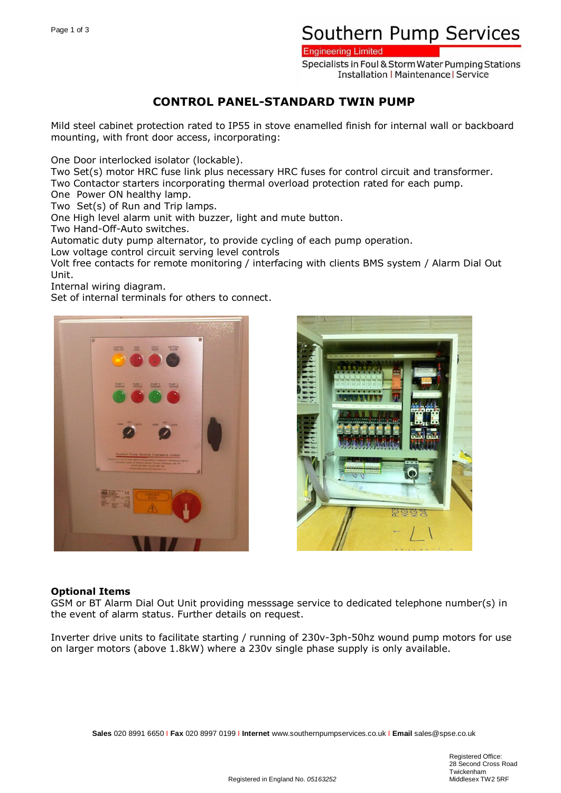# Southern Pump Services

**Engineering Limited** 

Specialists in Foul & Storm Water Pumping Stations **Installation | Maintenance | Service** 

### **CONTROL PANEL-STANDARD TWIN PUMP**

Mild steel cabinet protection rated to IP55 in stove enamelled finish for internal wall or backboard mounting, with front door access, incorporating:

One Door interlocked isolator (lockable).

Two Set(s) motor HRC fuse link plus necessary HRC fuses for control circuit and transformer.

Two Contactor starters incorporating thermal overload protection rated for each pump.

One Power ON healthy lamp.

Two Set(s) of Run and Trip lamps.

One High level alarm unit with buzzer, light and mute button.

Two Hand-Off-Auto switches.

Automatic duty pump alternator, to provide cycling of each pump operation.

Low voltage control circuit serving level controls

Volt free contacts for remote monitoring / interfacing with clients BMS system / Alarm Dial Out Unit.

Internal wiring diagram.

Set of internal terminals for others to connect.





#### **Optional Items**

GSM or BT Alarm Dial Out Unit providing messsage service to dedicated telephone number(s) in the event of alarm status. Further details on request.

Inverter drive units to facilitate starting / running of 230v-3ph-50hz wound pump motors for use on larger motors (above 1.8kW) where a 230v single phase supply is only available.

**Sales** 020 8991 6650 I **Fax** 020 8997 0199 I **Internet** www.southernpumpservices.co.uk I **Email** sales@spse.co.uk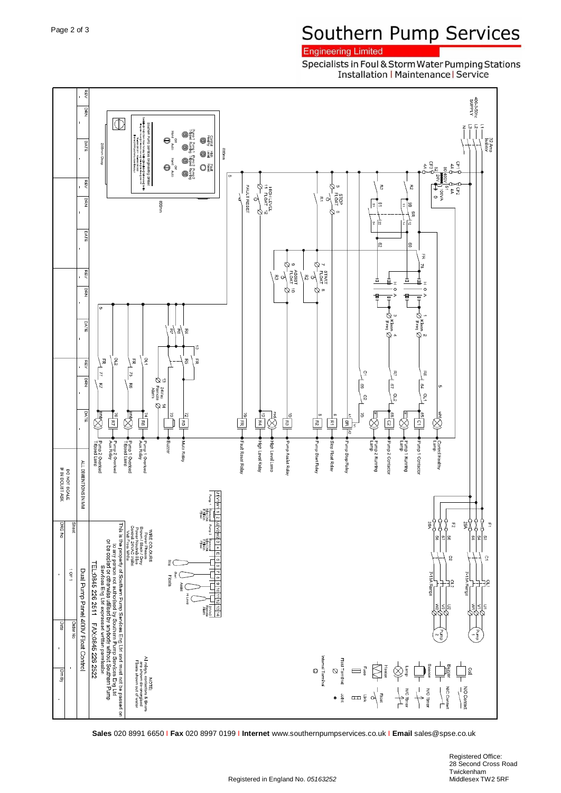## Southern Pump Services

### **Engineering Limited**

Specialists in Foul & Storm Water Pumping Stations **Installation | Maintenance | Service** 



**Sales** 020 8991 6650 I **Fax** 020 8997 0199 I **Internet** www.southernpumpservices.co.uk I **Email** sales@spse.co.uk